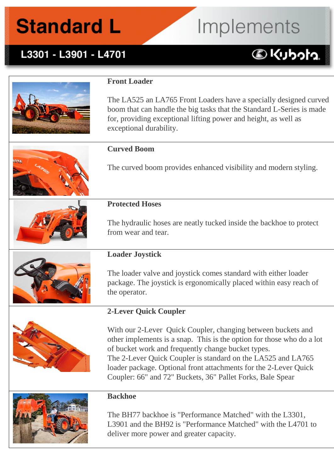## **Standard L**

# Implements

### L3301 - L3901 - L4701

### **DKUbota**